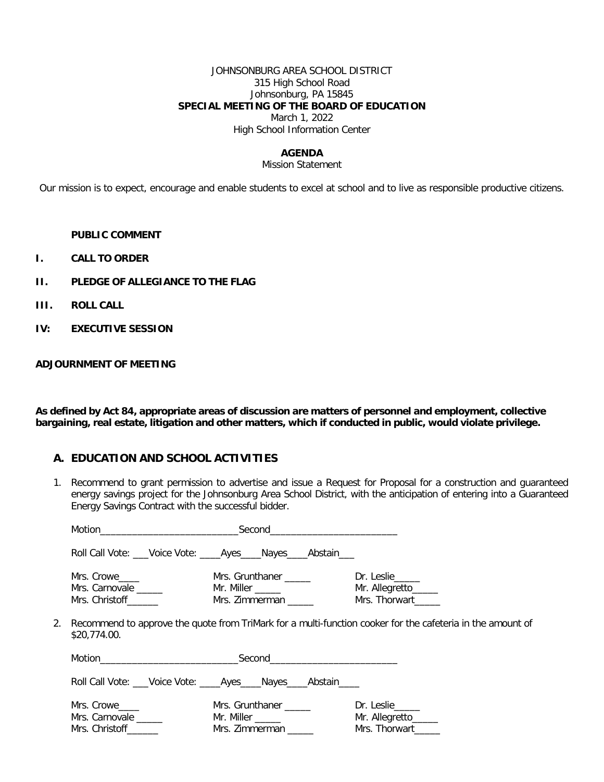## JOHNSONBURG AREA SCHOOL DISTRICT 315 High School Road Johnsonburg, PA 15845 **SPECIAL MEETING OF THE BOARD OF EDUCATION** March 1, 2022

High School Information Center

### **AGENDA**

#### Mission Statement

Our mission is to expect, encourage and enable students to excel at school and to live as responsible productive citizens.

#### **PUBLIC COMMENT**

- **I. CALL TO ORDER**
- **II. PLEDGE OF ALLEGIANCE TO THE FLAG**
- **III. ROLL CALL**
- **IV: EXECUTIVE SESSION**

## **ADJOURNMENT OF MEETING**

**As defined by Act 84, appropriate areas of discussion are matters of personnel and employment, collective bargaining, real estate, litigation and other matters, which if conducted in public, would violate privilege.**

## **A. EDUCATION AND SCHOOL ACTIVITIES**

1. Recommend to grant permission to advertise and issue a Request for Proposal for a construction and guaranteed energy savings project for the Johnsonburg Area School District, with the anticipation of entering into a Guaranteed Energy Savings Contract with the successful bidder.

| Motion <b>Executive Contract of Second Contract Contract Contract Contract Contract Contract Contract Contract Contract Contract Contract Contract Contract Contract Contract Contract Contract Contract Contract Contract Contr</b> | Second                                                              |                                                                                                            |
|--------------------------------------------------------------------------------------------------------------------------------------------------------------------------------------------------------------------------------------|---------------------------------------------------------------------|------------------------------------------------------------------------------------------------------------|
|                                                                                                                                                                                                                                      | Roll Call Vote: ___Voice Vote: _____Ayes ____Nayes ____Abstain ___  |                                                                                                            |
| Mrs. Crowe_____<br>Mrs. Carnovale<br>Mrs. Christoff                                                                                                                                                                                  | Mrs. Grunthaner ______<br>Mr. Miller ______<br>Mrs. Zimmerman       | Dr. Leslie<br>Mr. Allegretto______<br>Mrs. Thorwart                                                        |
| \$20,774.00.                                                                                                                                                                                                                         |                                                                     | Recommend to approve the quote from TriMark for a multi-function cooker for the cafeteria in the amount of |
|                                                                                                                                                                                                                                      |                                                                     |                                                                                                            |
|                                                                                                                                                                                                                                      | Roll Call Vote: ___Voice Vote: _____Ayes_____Nayes_____Abstain_____ |                                                                                                            |
| Mrs. Crowe_____<br>Mrs. Carnovale<br>Mrs. Christoff______                                                                                                                                                                            | Mrs. Grunthaner ______<br>Mr. Miller ______<br>Mrs. Zimmerman       | Dr. Leslie_____<br>Mr. Allegretto_____<br>Mrs. Thorwart                                                    |